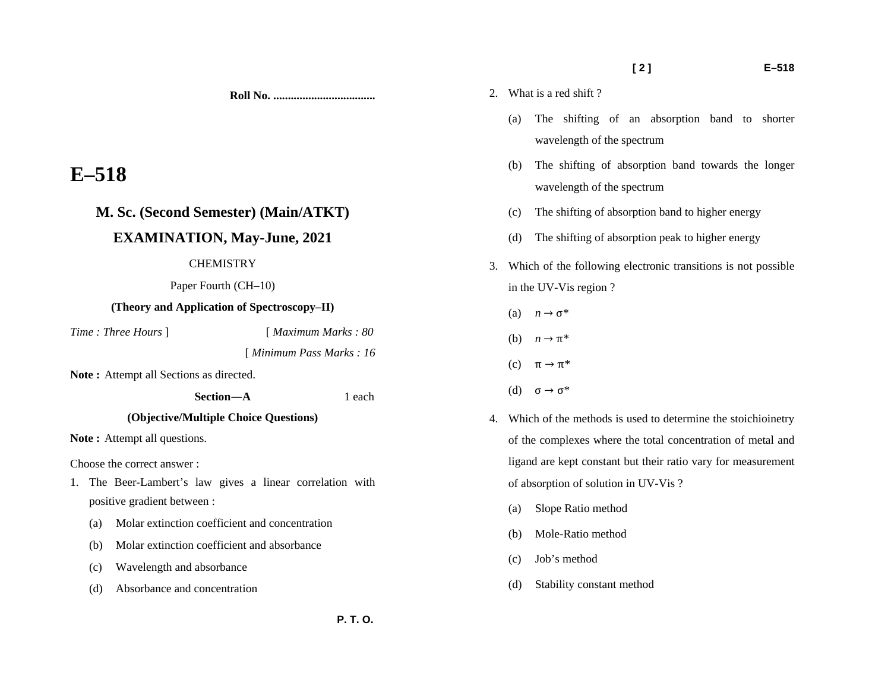**[ 2 ] E–518** 

(a) The shifting of an absorption band to shorter

(b) The shifting of absorption band towards the longer

(c) The shifting of absorption band to higher energy

(d) The shifting of absorption peak to higher energy

3. Which of the following electronic transitions is not possible

4. Which of the methods is used to determine the stoichioinetry

of the complexes where the total concentration of metal and ligand are kept constant but their ratio vary for measurement

wavelength of the spectrum

wavelength of the spectrum

**Roll No. ...................................** 

# **E–518**

# **M. Sc. (Second Semester) (Main/ATKT)**

## **EXAMINATION, May-June, 2021**

### **CHEMISTRY**

Paper Fourth (CH–10)

### **(Theory and Application of Spectroscopy–II)**

*Time : Three Hours* ] [ *Maximum Marks : 80* 

[ *Minimum Pass Marks : 16* 

Note: Attempt all Sections as directed.

**(Objective/Multiple Choice Questions)** 

 **Section—A** 1 each

Note: Attempt all questions.

Choose the correct answer :

- 1. The Beer-Lambert's law gives a linear correlation with positive gradient between :
	- (a) Molar extinction coefficient and concentration
	- (b) Molar extinction coefficient and absorbance
	- (c) Wavelength and absorbance
	- (d) Absorbance and concentration

(b) Mole-Ratio method

(a) Slope Ratio method

2. What is a red shift ?

in the UV-Vis region ?

(a)  $n \to \sigma^*$ 

(b)  $n \to \pi^*$ 

(c)  $\pi \rightarrow \pi^*$ 

(d)  $\sigma \rightarrow \sigma^*$ 

- (c) Job's method
- (d) Stability constant method

of absorption of solution in UV-Vis ?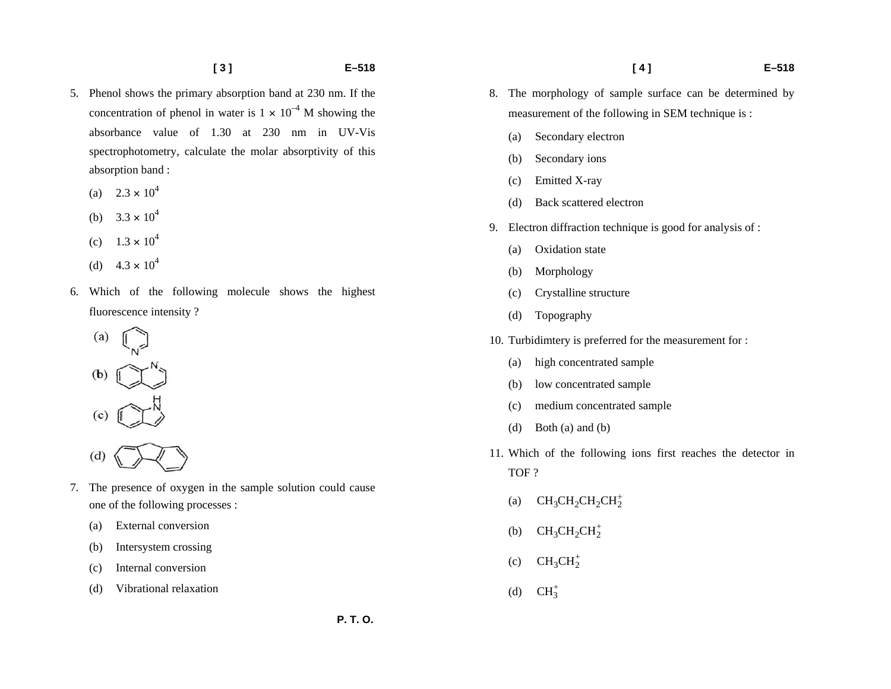- 5. Phenol shows the primary absorption band at 230 nm. If the concentration of phenol in water is  $1 \times 10^{-4}$  M showing the absorbance value of 1.30 at 230 nm in UV-Vis spectrophotometry, calculate the molar absorptivity of this absorption band :
	- (a)  $2.3 \times 10^4$
	- (b)  $3.3 \times 10^4$
	- (c)  $1.3 \times 10^4$
	- (d)  $4.3 \times 10^4$
- 6. Which of the following molecule shows the highest fluorescence intensity ?
	- $(a)$  $(b)$  $(d)$
- 7. The presence of oxygen in the sample solution could cause one of the following processes :
	- (a) External conversion
	- (b) Intersystem crossing
	- (c) Internal conversion
	- (d) Vibrational relaxation
- 8. The morphology of sample surface can be determined by measurement of the following in SEM technique is :
	- (a) Secondary electron
	- (b) Secondary ions
	- (c) Emitted X-ray
	- (d) Back scattered electron
- 9. Electron diffraction technique is good for analysis of :
	- (a) Oxidation state
	- (b) Morphology
	- (c) Crystalline structure
	- (d) Topography
- 10. Turbidimtery is preferred for the measurement for :
	- (a) high concentrated sample
	- (b) low concentrated sample
	- (c) medium concentrated sample
	- (d) Both (a) and (b)
- 11. Which of the following ions first reaches the detector in TOF ?
	- (a)  $CH_3CH_2CH_2CH_2^+$
	- (b)  $CH_3CH_2CH_2^+$
	- (c)  $CH_3CH_2^+$
	- (d)  $CH_3^+$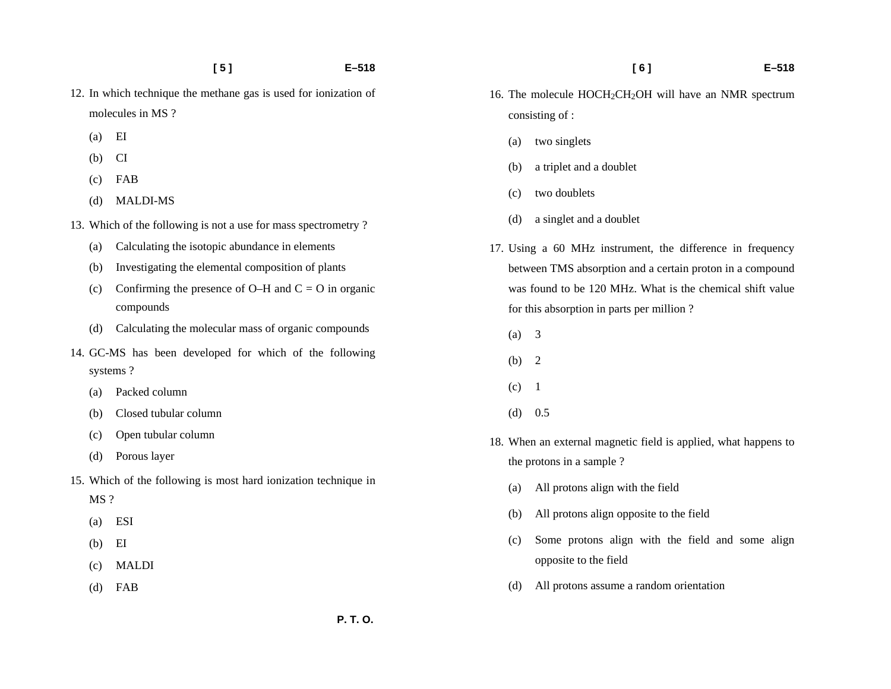- **[ 5 ] E–518**
- 12. In which technique the methane gas is used for ionization of molecules in MS ?
	- (a) EI
	- (b) CI
	- (c) FAB
	- (d) MALDI-MS
- 13. Which of the following is not a use for mass spectrometry ?
	- (a) Calculating the isotopic abundance in elements
	- (b) Investigating the elemental composition of plants
	- (c) Confirming the presence of O–H and  $C = O$  in organic compounds
	- (d) Calculating the molecular mass of organic compounds
- 14. GC-MS has been developed for which of the following systems ?
	- (a) Packed column
	- (b) Closed tubular column
	- (c) Open tubular column
	- (d) Porous layer
- 15. Which of the following is most hard ionization technique in MS ?
	- (a) ESI
	- (b) EI
	- (c) MALDI
	- (d) FAB
- 16. The molecule HOCH<sub>2</sub>CH<sub>2</sub>OH will have an NMR spectrum consisting of :
	- (a) two singlets
	- (b) a triplet and a doublet
	- (c) two doublets
	- (d) a singlet and a doublet
- 17. Using a 60 MHz instrument, the difference in frequency between TMS absorption and a certain proton in a compound was found to be 120 MHz. What is the chemical shift value for this absorption in parts per million ?
	- (a) 3
	- (b) 2
	- $(c)$  1
	- $(d)$  0.5
- 18. When an external magnetic field is applied, what happens to the protons in a sample ?
	- (a) All protons align with the field
	- (b) All protons align opposite to the field
	- (c) Some protons align with the field and some align opposite to the field
	- (d) All protons assume a random orientation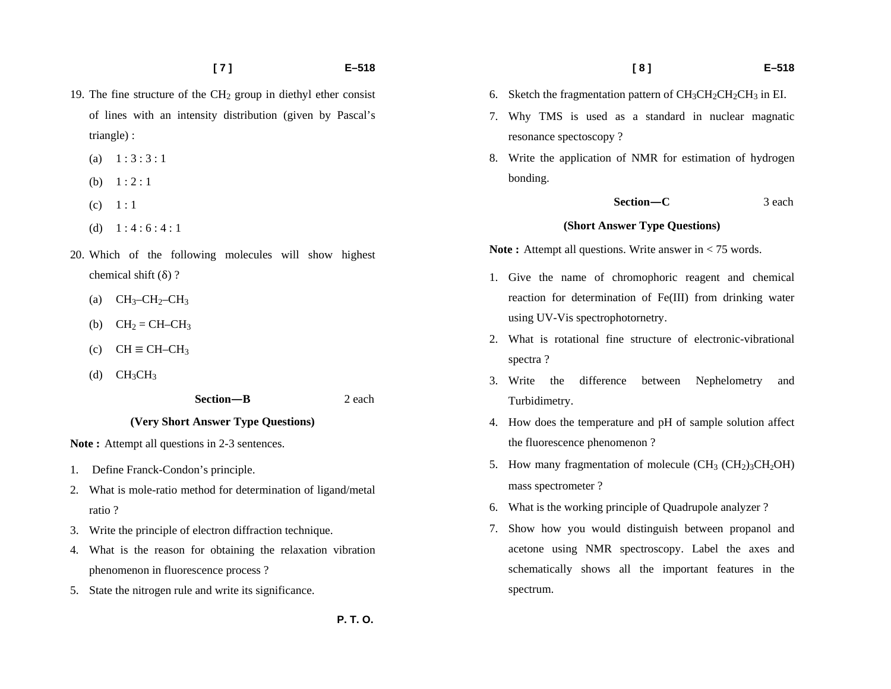- **[ 7 ] E–518**
- 19. The fine structure of the  $CH<sub>2</sub>$  group in diethyl ether consist of lines with an intensity distribution (given by Pascal's triangle) :
	- (a)  $1 : 3 : 3 : 1$
	- (b)  $1:2:1$
	- $(c) \quad 1:1$
	- (d)  $1:4:6:4:1$
- 20. Which of the following molecules will show highest chemical shift (δ) ?
	- (a)  $CH_3-CH_2-CH_3$
	- (b)  $CH_2 = CH CH_3$
	- (c)  $CH \equiv CH CH_3$
	- (d)  $CH_3CH_3$

 **Section—B** 2 each

#### **(Very Short Answer Type Questions)**

Note: Attempt all questions in 2-3 sentences.

- 1. Define Franck-Condon's principle.
- 2. What is mole-ratio method for determination of ligand/metal ratio ?
- 3. Write the principle of electron diffraction technique.
- 4. What is the reason for obtaining the relaxation vibration phenomenon in fluorescence process ?
- 5. State the nitrogen rule and write its significance.
- 6. Sketch the fragmentation pattern of  $CH_3CH_2CH_2CH_3$  in EI.
- 7. Why TMS is used as a standard in nuclear magnatic resonance spectoscopy ?
- 8. Write the application of NMR for estimation of hydrogen bonding.

 **Section—C** 3 each

#### **(Short Answer Type Questions)**

**Note :** Attempt all questions. Write answer in < 75 words.

- 1. Give the name of chromophoric reagent and chemical reaction for determination of Fe(III) from drinking water using UV-Vis spectrophotornetry.
- 2. What is rotational fine structure of electronic-vibrational spectra ?
- 3. Write the difference between Nephelometry and Turbidimetry.
- 4. How does the temperature and pH of sample solution affect the fluorescence phenomenon ?
- 5. How many fragmentation of molecule  $(CH_3 (CH_2)_3CH_2OH)$ mass spectrometer ?
- 6. What is the working principle of Quadrupole analyzer ?
- 7. Show how you would distinguish between propanol and acetone using NMR spectroscopy. Label the axes and schematically shows all the important features in the spectrum.